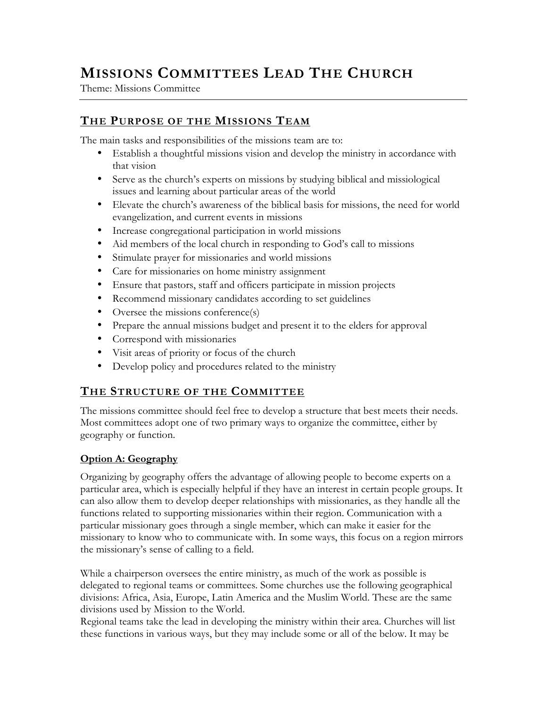# MISSIONS COMMITTEES LEAD THE CHURCH

Theme: Missions Committee

## THE PURPOSE OF THE MISSIONS TEAM

The main tasks and responsibilities of the missions team are to:

- Establish a thoughtful missions vision and develop the ministry in accordance with that vision
- Serve as the church's experts on missions by studying biblical and missiological issues and learning about particular areas of the world
- Elevate the church's awareness of the biblical basis for missions, the need for world evangelization, and current events in missions
- Increase congregational participation in world missions
- Aid members of the local church in responding to God's call to missions
- Stimulate prayer for missionaries and world missions
- Care for missionaries on home ministry assignment
- Ensure that pastors, staff and officers participate in mission projects
- Recommend missionary candidates according to set guidelines
- Oversee the missions conference(s)
- Prepare the annual missions budget and present it to the elders for approval
- Correspond with missionaries
- Visit areas of priority or focus of the church
- Develop policy and procedures related to the ministry

## **THE STRUCTURE OF THE COMMITTEE**

The missions committee should feel free to develop a structure that best meets their needs. Most committees adopt one of two primary ways to organize the committee, either by geography or function.

### Option A: Geography

Organizing by geography offers the advantage of allowing people to become experts on a particular area, which is especially helpful if they have an interest in certain people groups. It can also allow them to develop deeper relationships with missionaries, as they handle all the functions related to supporting missionaries within their region. Communication with a particular missionary goes through a single member, which can make it easier for the missionary to know who to communicate with. In some ways, this focus on a region mirrors the missionary's sense of calling to a field.

While a chairperson oversees the entire ministry, as much of the work as possible is delegated to regional teams or committees. Some churches use the following geographical divisions: Africa, Asia, Europe, Latin America and the Muslim World. These are the same divisions used by Mission to the World.

Regional teams take the lead in developing the ministry within their area. Churches will list these functions in various ways, but they may include some or all of the below. It may be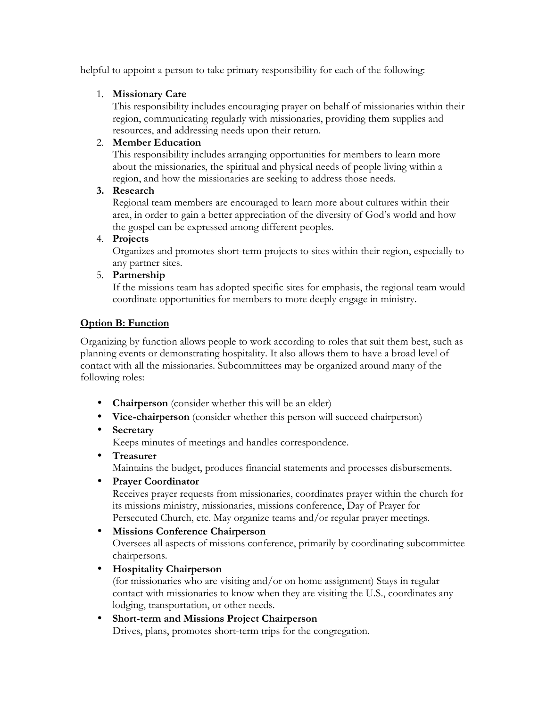helpful to appoint a person to take primary responsibility for each of the following:

### 1. Missionary Care

This responsibility includes encouraging prayer on behalf of missionaries within their region, communicating regularly with missionaries, providing them supplies and resources, and addressing needs upon their return.

### 2. Member Education

This responsibility includes arranging opportunities for members to learn more about the missionaries, the spiritual and physical needs of people living within a region, and how the missionaries are seeking to address those needs.

### 3. Research

Regional team members are encouraged to learn more about cultures within their area, in order to gain a better appreciation of the diversity of God's world and how the gospel can be expressed among different peoples.

### 4. Projects

Organizes and promotes short-term projects to sites within their region, especially to any partner sites.

### 5. Partnership

If the missions team has adopted specific sites for emphasis, the regional team would coordinate opportunities for members to more deeply engage in ministry.

### Option B: Function

Organizing by function allows people to work according to roles that suit them best, such as planning events or demonstrating hospitality. It also allows them to have a broad level of contact with all the missionaries. Subcommittees may be organized around many of the following roles:

- **Chairperson** (consider whether this will be an elder)
- Vice-chairperson (consider whether this person will succeed chairperson)

### • Secretary

Keeps minutes of meetings and handles correspondence.

• Treasurer

Maintains the budget, produces financial statements and processes disbursements.

• Prayer Coordinator

Receives prayer requests from missionaries, coordinates prayer within the church for its missions ministry, missionaries, missions conference, Day of Prayer for Persecuted Church, etc. May organize teams and/or regular prayer meetings.

• Missions Conference Chairperson

Oversees all aspects of missions conference, primarily by coordinating subcommittee chairpersons.

• Hospitality Chairperson

(for missionaries who are visiting and/or on home assignment) Stays in regular contact with missionaries to know when they are visiting the U.S., coordinates any lodging, transportation, or other needs.

# • Short-term and Missions Project Chairperson

Drives, plans, promotes short-term trips for the congregation.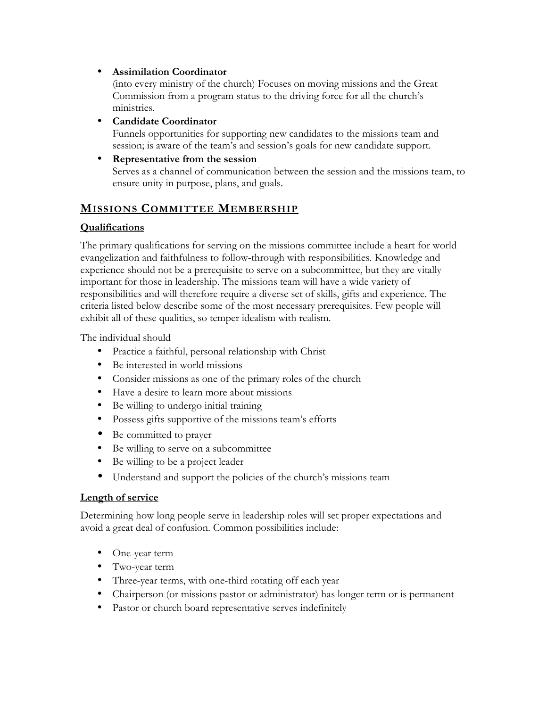### • Assimilation Coordinator

(into every ministry of the church) Focuses on moving missions and the Great Commission from a program status to the driving force for all the church's ministries.

### • Candidate Coordinator

Funnels opportunities for supporting new candidates to the missions team and session; is aware of the team's and session's goals for new candidate support.

### • Representative from the session

Serves as a channel of communication between the session and the missions team, to ensure unity in purpose, plans, and goals.

### MISSIONS COMMITTEE MEMBERSHIP

### Qualifications

The primary qualifications for serving on the missions committee include a heart for world evangelization and faithfulness to follow-through with responsibilities. Knowledge and experience should not be a prerequisite to serve on a subcommittee, but they are vitally important for those in leadership. The missions team will have a wide variety of responsibilities and will therefore require a diverse set of skills, gifts and experience. The criteria listed below describe some of the most necessary prerequisites. Few people will exhibit all of these qualities, so temper idealism with realism.

The individual should

- Practice a faithful, personal relationship with Christ
- Be interested in world missions
- Consider missions as one of the primary roles of the church
- Have a desire to learn more about missions
- Be willing to undergo initial training
- Possess gifts supportive of the missions team's efforts
- Be committed to prayer
- Be willing to serve on a subcommittee
- Be willing to be a project leader
- Understand and support the policies of the church's missions team

### Length of service

Determining how long people serve in leadership roles will set proper expectations and avoid a great deal of confusion. Common possibilities include:

- One-year term
- Two-year term
- Three-year terms, with one-third rotating off each year
- Chairperson (or missions pastor or administrator) has longer term or is permanent
- Pastor or church board representative serves indefinitely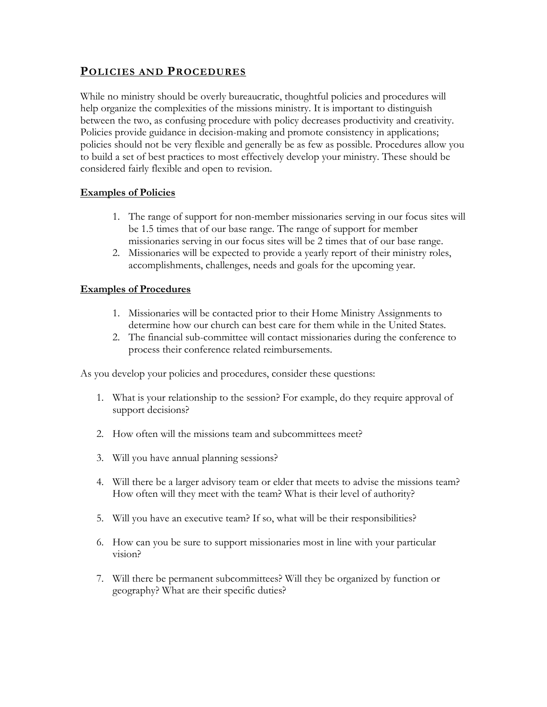### POLICIES AND PROCEDURES

While no ministry should be overly bureaucratic, thoughtful policies and procedures will help organize the complexities of the missions ministry. It is important to distinguish between the two, as confusing procedure with policy decreases productivity and creativity. Policies provide guidance in decision-making and promote consistency in applications; policies should not be very flexible and generally be as few as possible. Procedures allow you to build a set of best practices to most effectively develop your ministry. These should be considered fairly flexible and open to revision.

### Examples of Policies

- 1. The range of support for non-member missionaries serving in our focus sites will be 1.5 times that of our base range. The range of support for member missionaries serving in our focus sites will be 2 times that of our base range.
- 2. Missionaries will be expected to provide a yearly report of their ministry roles, accomplishments, challenges, needs and goals for the upcoming year.

#### Examples of Procedures

- 1. Missionaries will be contacted prior to their Home Ministry Assignments to determine how our church can best care for them while in the United States.
- 2. The financial sub-committee will contact missionaries during the conference to process their conference related reimbursements.

As you develop your policies and procedures, consider these questions:

- 1. What is your relationship to the session? For example, do they require approval of support decisions?
- 2. How often will the missions team and subcommittees meet?
- 3. Will you have annual planning sessions?
- 4. Will there be a larger advisory team or elder that meets to advise the missions team? How often will they meet with the team? What is their level of authority?
- 5. Will you have an executive team? If so, what will be their responsibilities?
- 6. How can you be sure to support missionaries most in line with your particular vision?
- 7. Will there be permanent subcommittees? Will they be organized by function or geography? What are their specific duties?